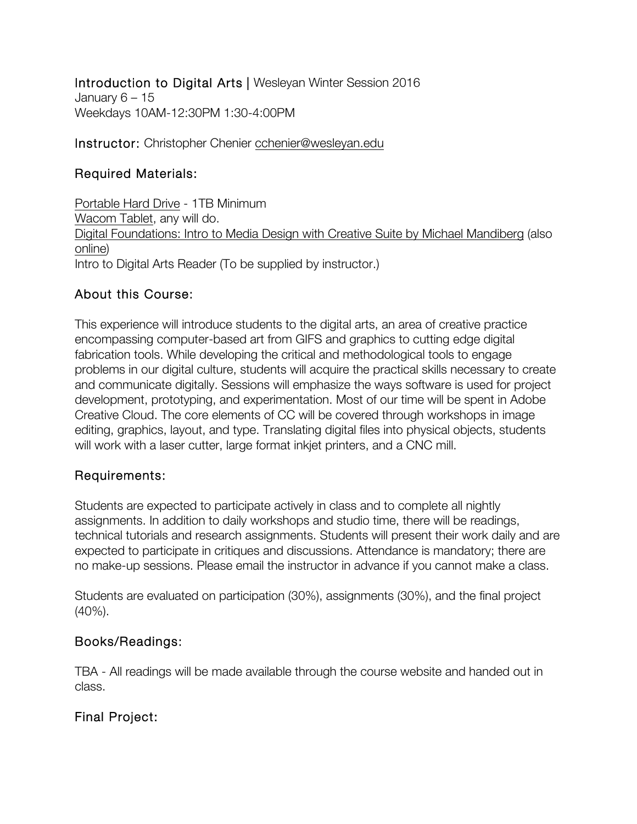Introduction to Digital Arts | Wesleyan Winter Session 2016 January 6 – 15 Weekdays 10AM-12:30PM 1:30-4:00PM

Instructor: Christopher Chenier cchenier@wesleyan.edu

### Required Materials:

Portable Hard Drive - 1TB Minimum Wacom Tablet, any will do. Digital Foundations: Intro to Media Design with Creative Suite by Michael Mandiberg (also online) Intro to Digital Arts Reader (To be supplied by instructor.)

### About this Course:

This experience will introduce students to the digital arts, an area of creative practice encompassing computer-based art from GIFS and graphics to cutting edge digital fabrication tools. While developing the critical and methodological tools to engage problems in our digital culture, students will acquire the practical skills necessary to create and communicate digitally. Sessions will emphasize the ways software is used for project development, prototyping, and experimentation. Most of our time will be spent in Adobe Creative Cloud. The core elements of CC will be covered through workshops in image editing, graphics, layout, and type. Translating digital files into physical objects, students will work with a laser cutter, large format inkjet printers, and a CNC mill.

#### Requirements:

Students are expected to participate actively in class and to complete all nightly assignments. In addition to daily workshops and studio time, there will be readings, technical tutorials and research assignments. Students will present their work daily and are expected to participate in critiques and discussions. Attendance is mandatory; there are no make-up sessions. Please email the instructor in advance if you cannot make a class.

Students are evaluated on participation (30%), assignments (30%), and the final project (40%).

#### Books/Readings:

TBA - All readings will be made available through the course website and handed out in class.

## Final Project: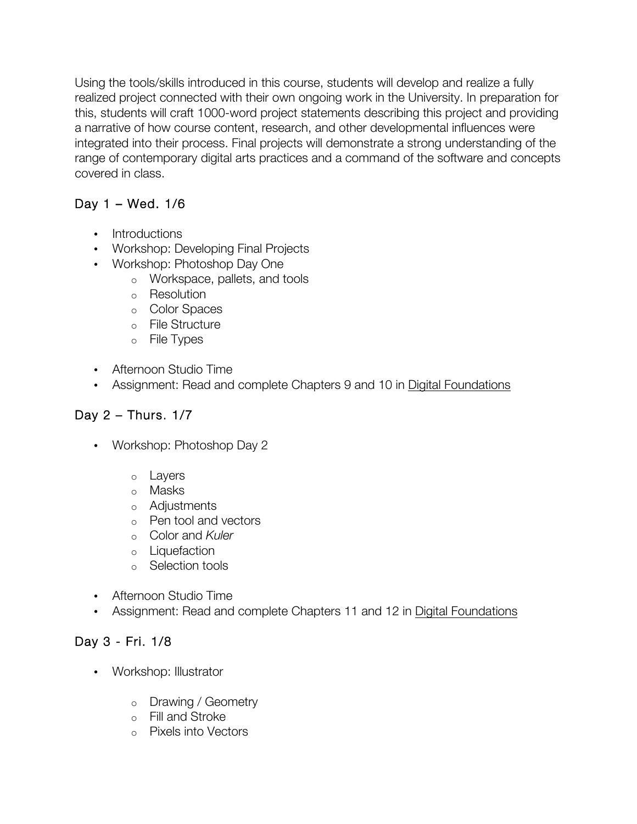Using the tools/skills introduced in this course, students will develop and realize a fully realized project connected with their own ongoing work in the University. In preparation for this, students will craft 1000-word project statements describing this project and providing a narrative of how course content, research, and other developmental influences were integrated into their process. Final projects will demonstrate a strong understanding of the range of contemporary digital arts practices and a command of the software and concepts covered in class.

## Day 1 – Wed. 1/6

- Introductions
- Workshop: Developing Final Projects
- Workshop: Photoshop Day One
	- o Workspace, pallets, and tools
	- o Resolution
	- o Color Spaces
	- o File Structure
	- o File Types
- Afternoon Studio Time
- Assignment: Read and complete Chapters 9 and 10 in Digital Foundations

# Day 2 – Thurs. 1/7

- Workshop: Photoshop Day 2
	- o Layers
	- o Masks
	- o Adjustments
	- o Pen tool and vectors
	- o Color and *Kuler*
	- o Liquefaction
	- o Selection tools
- Afternoon Studio Time
- Assignment: Read and complete Chapters 11 and 12 in Digital Foundations

## Day 3 - Fri. 1/8

- Workshop: Illustrator
	- o Drawing / Geometry
	- o Fill and Stroke
	- o Pixels into Vectors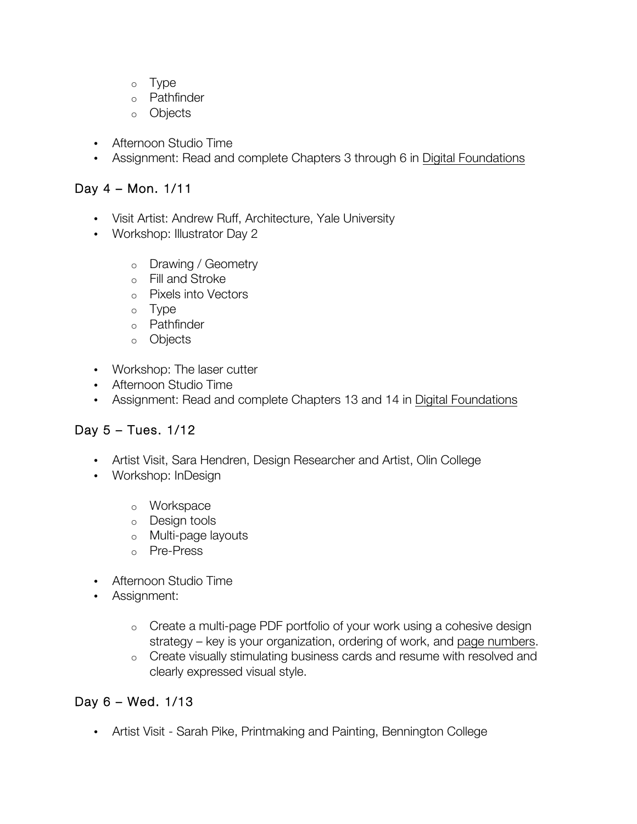- o Type
- o Pathfinder
- o Objects
- Afternoon Studio Time
- Assignment: Read and complete Chapters 3 through 6 in Digital Foundations

#### Day 4 – Mon. 1/11

- Visit Artist: Andrew Ruff, Architecture, Yale University
- Workshop: Illustrator Day 2
	- o Drawing / Geometry
	- o Fill and Stroke
	- o Pixels into Vectors
	- o Type
	- o Pathfinder
	- o Objects
- Workshop: The laser cutter
- Afternoon Studio Time
- Assignment: Read and complete Chapters 13 and 14 in Digital Foundations

#### Day 5 – Tues. 1/12

- Artist Visit, Sara Hendren, Design Researcher and Artist, Olin College
- Workshop: InDesign
	- o Workspace
	- o Design tools
	- o Multi-page layouts
	- o Pre-Press
- Afternoon Studio Time
- Assignment:
	- o Create a multi-page PDF portfolio of your work using a cohesive design strategy – key is your organization, ordering of work, and page numbers.
	- o Create visually stimulating business cards and resume with resolved and clearly expressed visual style.

#### Day 6 – Wed. 1/13

• Artist Visit - Sarah Pike, Printmaking and Painting, Bennington College